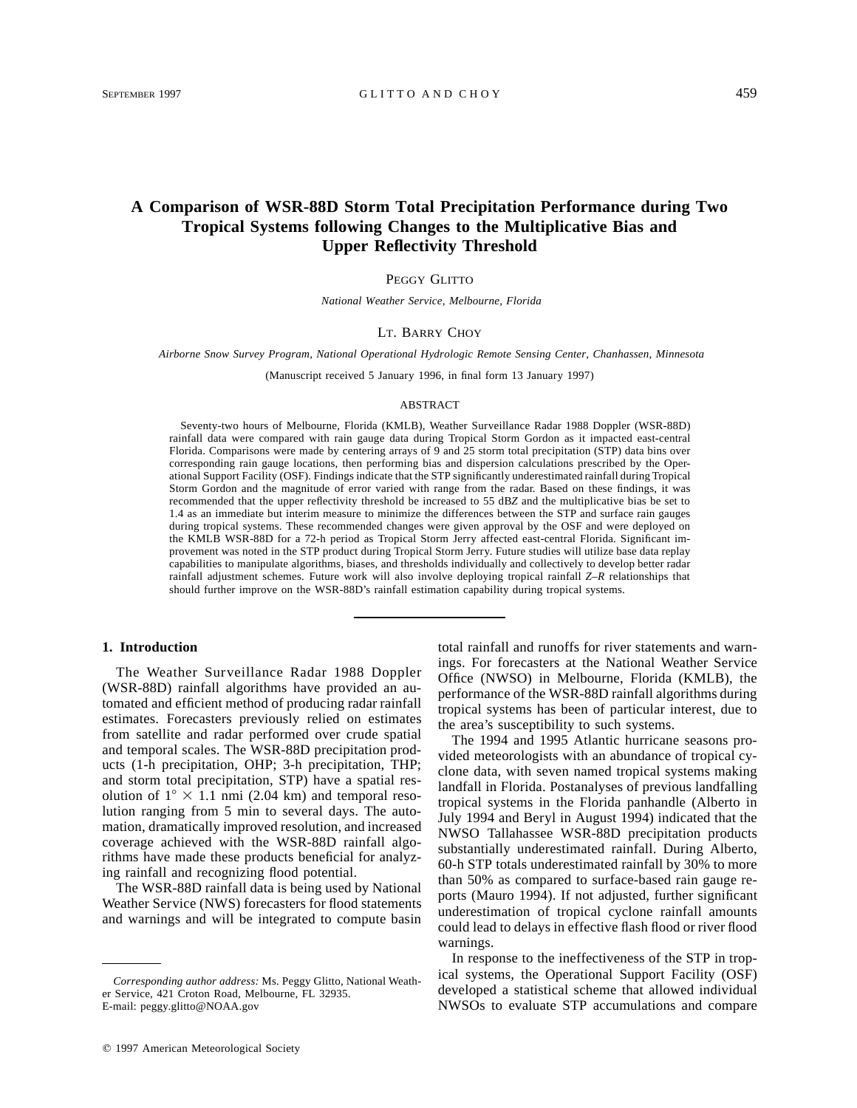# **A Comparison of WSR-88D Storm Total Precipitation Performance during Two Tropical Systems following Changes to the Multiplicative Bias and Upper Reflectivity Threshold**

#### PEGGY GLITTO

*National Weather Service, Melbourne, Florida*

# LT. BARRY CHOY

*Airborne Snow Survey Program, National Operational Hydrologic Remote Sensing Center, Chanhassen, Minnesota*

(Manuscript received 5 January 1996, in final form 13 January 1997)

#### ABSTRACT

Seventy-two hours of Melbourne, Florida (KMLB), Weather Surveillance Radar 1988 Doppler (WSR-88D) rainfall data were compared with rain gauge data during Tropical Storm Gordon as it impacted east-central Florida. Comparisons were made by centering arrays of 9 and 25 storm total precipitation (STP) data bins over corresponding rain gauge locations, then performing bias and dispersion calculations prescribed by the Operational Support Facility (OSF). Findings indicate that the STP significantly underestimated rainfall during Tropical Storm Gordon and the magnitude of error varied with range from the radar. Based on these findings, it was recommended that the upper reflectivity threshold be increased to 55 dB*Z* and the multiplicative bias be set to 1.4 as an immediate but interim measure to minimize the differences between the STP and surface rain gauges during tropical systems. These recommended changes were given approval by the OSF and were deployed on the KMLB WSR-88D for a 72-h period as Tropical Storm Jerry affected east-central Florida. Significant improvement was noted in the STP product during Tropical Storm Jerry. Future studies will utilize base data replay capabilities to manipulate algorithms, biases, and thresholds individually and collectively to develop better radar rainfall adjustment schemes. Future work will also involve deploying tropical rainfall *Z*–*R* relationships that should further improve on the WSR-88D's rainfall estimation capability during tropical systems.

## **1. Introduction**

The Weather Surveillance Radar 1988 Doppler (WSR-88D) rainfall algorithms have provided an automated and efficient method of producing radar rainfall estimates. Forecasters previously relied on estimates from satellite and radar performed over crude spatial and temporal scales. The WSR-88D precipitation products (1-h precipitation, OHP; 3-h precipitation, THP; and storm total precipitation, STP) have a spatial resolution of  $1^{\circ} \times 1.1$  nmi (2.04 km) and temporal resolution ranging from 5 min to several days. The automation, dramatically improved resolution, and increased coverage achieved with the WSR-88D rainfall algorithms have made these products beneficial for analyzing rainfall and recognizing flood potential.

The WSR-88D rainfall data is being used by National Weather Service (NWS) forecasters for flood statements and warnings and will be integrated to compute basin total rainfall and runoffs for river statements and warnings. For forecasters at the National Weather Service Office (NWSO) in Melbourne, Florida (KMLB), the performance of the WSR-88D rainfall algorithms during tropical systems has been of particular interest, due to the area's susceptibility to such systems.

The 1994 and 1995 Atlantic hurricane seasons provided meteorologists with an abundance of tropical cyclone data, with seven named tropical systems making landfall in Florida. Postanalyses of previous landfalling tropical systems in the Florida panhandle (Alberto in July 1994 and Beryl in August 1994) indicated that the NWSO Tallahassee WSR-88D precipitation products substantially underestimated rainfall. During Alberto, 60-h STP totals underestimated rainfall by 30% to more than 50% as compared to surface-based rain gauge reports (Mauro 1994). If not adjusted, further significant underestimation of tropical cyclone rainfall amounts could lead to delays in effective flash flood or river flood warnings.

In response to the ineffectiveness of the STP in tropical systems, the Operational Support Facility (OSF) developed a statistical scheme that allowed individual NWSOs to evaluate STP accumulations and compare

*Corresponding author address:* Ms. Peggy Glitto, National Weather Service, 421 Croton Road, Melbourne, FL 32935. E-mail: peggy.glitto@NOAA.gov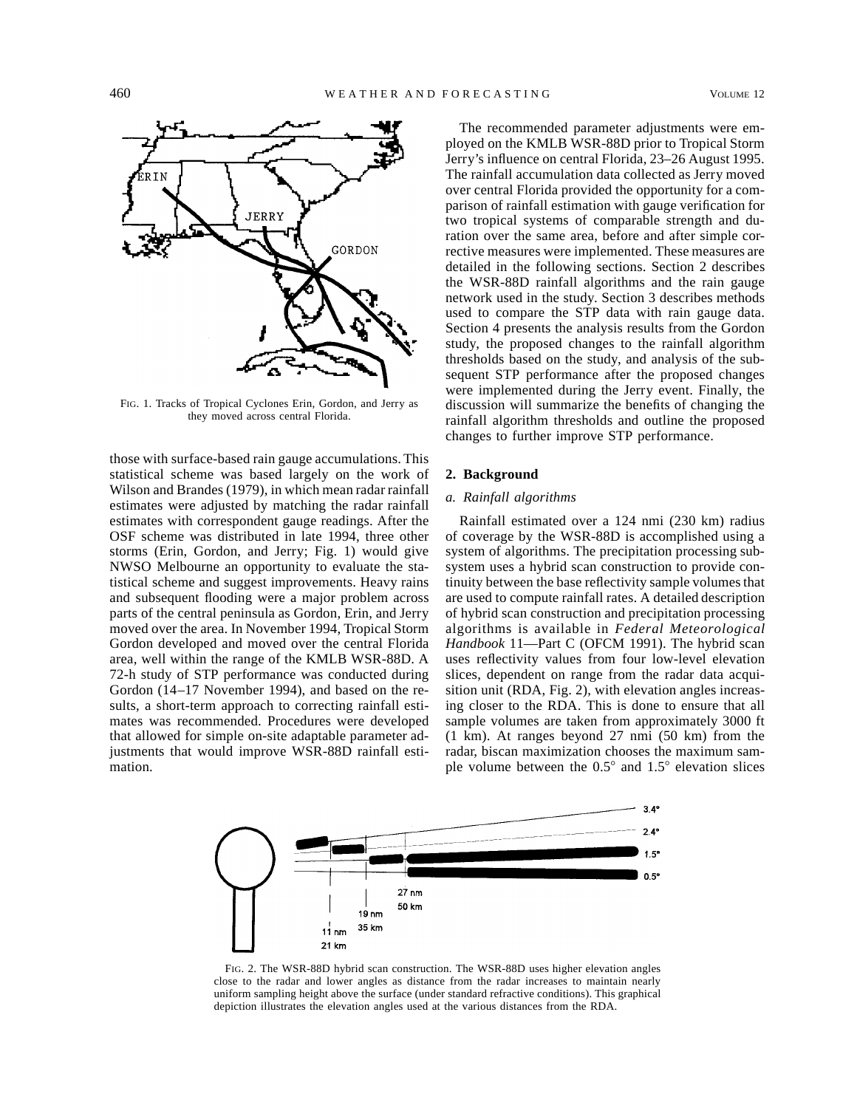

FIG. 1. Tracks of Tropical Cyclones Erin, Gordon, and Jerry as they moved across central Florida.

those with surface-based rain gauge accumulations. This statistical scheme was based largely on the work of Wilson and Brandes (1979), in which mean radar rainfall estimates were adjusted by matching the radar rainfall estimates with correspondent gauge readings. After the OSF scheme was distributed in late 1994, three other storms (Erin, Gordon, and Jerry; Fig. 1) would give NWSO Melbourne an opportunity to evaluate the statistical scheme and suggest improvements. Heavy rains and subsequent flooding were a major problem across parts of the central peninsula as Gordon, Erin, and Jerry moved over the area. In November 1994, Tropical Storm Gordon developed and moved over the central Florida area, well within the range of the KMLB WSR-88D. A 72-h study of STP performance was conducted during Gordon (14–17 November 1994), and based on the results, a short-term approach to correcting rainfall estimates was recommended. Procedures were developed that allowed for simple on-site adaptable parameter adjustments that would improve WSR-88D rainfall estimation.

The recommended parameter adjustments were employed on the KMLB WSR-88D prior to Tropical Storm Jerry's influence on central Florida, 23–26 August 1995. The rainfall accumulation data collected as Jerry moved over central Florida provided the opportunity for a comparison of rainfall estimation with gauge verification for two tropical systems of comparable strength and duration over the same area, before and after simple corrective measures were implemented. These measures are detailed in the following sections. Section 2 describes the WSR-88D rainfall algorithms and the rain gauge network used in the study. Section 3 describes methods used to compare the STP data with rain gauge data. Section 4 presents the analysis results from the Gordon study, the proposed changes to the rainfall algorithm thresholds based on the study, and analysis of the subsequent STP performance after the proposed changes were implemented during the Jerry event. Finally, the discussion will summarize the benefits of changing the rainfall algorithm thresholds and outline the proposed changes to further improve STP performance.

# **2. Background**

## *a. Rainfall algorithms*

Rainfall estimated over a 124 nmi (230 km) radius of coverage by the WSR-88D is accomplished using a system of algorithms. The precipitation processing subsystem uses a hybrid scan construction to provide continuity between the base reflectivity sample volumes that are used to compute rainfall rates. A detailed description of hybrid scan construction and precipitation processing algorithms is available in *Federal Meteorological Handbook* 11—Part C (OFCM 1991). The hybrid scan uses reflectivity values from four low-level elevation slices, dependent on range from the radar data acquisition unit (RDA, Fig. 2), with elevation angles increasing closer to the RDA. This is done to ensure that all sample volumes are taken from approximately 3000 ft (1 km). At ranges beyond 27 nmi (50 km) from the radar, biscan maximization chooses the maximum sample volume between the  $0.5^{\circ}$  and  $1.5^{\circ}$  elevation slices



FIG. 2. The WSR-88D hybrid scan construction. The WSR-88D uses higher elevation angles close to the radar and lower angles as distance from the radar increases to maintain nearly uniform sampling height above the surface (under standard refractive conditions). This graphical depiction illustrates the elevation angles used at the various distances from the RDA.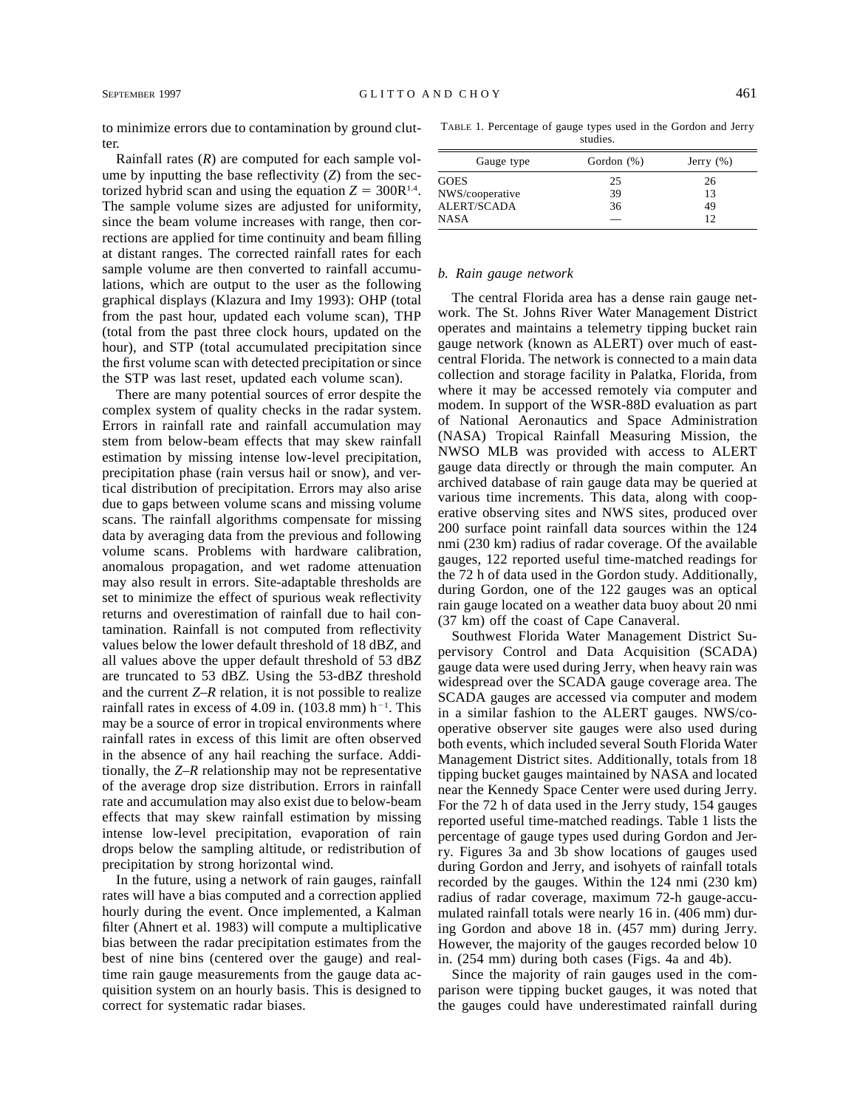to minimize errors due to contamination by ground clutter.

Rainfall rates (*R*) are computed for each sample volume by inputting the base reflectivity (*Z*) from the sectorized hybrid scan and using the equation  $Z = 300R^{1.4}$ . The sample volume sizes are adjusted for uniformity, since the beam volume increases with range, then corrections are applied for time continuity and beam filling at distant ranges. The corrected rainfall rates for each sample volume are then converted to rainfall accumulations, which are output to the user as the following graphical displays (Klazura and Imy 1993): OHP (total from the past hour, updated each volume scan), THP (total from the past three clock hours, updated on the hour), and STP (total accumulated precipitation since the first volume scan with detected precipitation or since the STP was last reset, updated each volume scan).

There are many potential sources of error despite the complex system of quality checks in the radar system. Errors in rainfall rate and rainfall accumulation may stem from below-beam effects that may skew rainfall estimation by missing intense low-level precipitation, precipitation phase (rain versus hail or snow), and vertical distribution of precipitation. Errors may also arise due to gaps between volume scans and missing volume scans. The rainfall algorithms compensate for missing data by averaging data from the previous and following volume scans. Problems with hardware calibration, anomalous propagation, and wet radome attenuation may also result in errors. Site-adaptable thresholds are set to minimize the effect of spurious weak reflectivity returns and overestimation of rainfall due to hail contamination. Rainfall is not computed from reflectivity values below the lower default threshold of 18 dB*Z,* and all values above the upper default threshold of 53 dB*Z* are truncated to 53 dB*Z.* Using the 53-dB*Z* threshold and the current *Z*–*R* relation, it is not possible to realize rainfall rates in excess of 4.09 in.  $(103.8 \text{ mm}) \text{ h}^{-1}$ . This may be a source of error in tropical environments where rainfall rates in excess of this limit are often observed in the absence of any hail reaching the surface. Additionally, the *Z*–*R* relationship may not be representative of the average drop size distribution. Errors in rainfall rate and accumulation may also exist due to below-beam effects that may skew rainfall estimation by missing intense low-level precipitation, evaporation of rain drops below the sampling altitude, or redistribution of precipitation by strong horizontal wind.

In the future, using a network of rain gauges, rainfall rates will have a bias computed and a correction applied hourly during the event. Once implemented, a Kalman filter (Ahnert et al. 1983) will compute a multiplicative bias between the radar precipitation estimates from the best of nine bins (centered over the gauge) and realtime rain gauge measurements from the gauge data acquisition system on an hourly basis. This is designed to correct for systematic radar biases.

TABLE 1. Percentage of gauge types used in the Gordon and Jerry studies.

| Gauge type         | Gordon $(\%)$ | Jerry $(\% )$ |
|--------------------|---------------|---------------|
| <b>GOES</b>        | 25            | 26            |
| NWS/cooperative    | 39            | 13            |
| <b>ALERT/SCADA</b> | 36            | 49            |
| <b>NASA</b>        |               | 12            |

#### *b. Rain gauge network*

The central Florida area has a dense rain gauge network. The St. Johns River Water Management District operates and maintains a telemetry tipping bucket rain gauge network (known as ALERT) over much of eastcentral Florida. The network is connected to a main data collection and storage facility in Palatka, Florida, from where it may be accessed remotely via computer and modem. In support of the WSR-88D evaluation as part of National Aeronautics and Space Administration (NASA) Tropical Rainfall Measuring Mission, the NWSO MLB was provided with access to ALERT gauge data directly or through the main computer. An archived database of rain gauge data may be queried at various time increments. This data, along with cooperative observing sites and NWS sites, produced over 200 surface point rainfall data sources within the 124 nmi (230 km) radius of radar coverage. Of the available gauges, 122 reported useful time-matched readings for the 72 h of data used in the Gordon study. Additionally, during Gordon, one of the 122 gauges was an optical rain gauge located on a weather data buoy about 20 nmi (37 km) off the coast of Cape Canaveral.

Southwest Florida Water Management District Supervisory Control and Data Acquisition (SCADA) gauge data were used during Jerry, when heavy rain was widespread over the SCADA gauge coverage area. The SCADA gauges are accessed via computer and modem in a similar fashion to the ALERT gauges. NWS/cooperative observer site gauges were also used during both events, which included several South Florida Water Management District sites. Additionally, totals from 18 tipping bucket gauges maintained by NASA and located near the Kennedy Space Center were used during Jerry. For the 72 h of data used in the Jerry study, 154 gauges reported useful time-matched readings. Table 1 lists the percentage of gauge types used during Gordon and Jerry. Figures 3a and 3b show locations of gauges used during Gordon and Jerry, and isohyets of rainfall totals recorded by the gauges. Within the 124 nmi (230 km) radius of radar coverage, maximum 72-h gauge-accumulated rainfall totals were nearly 16 in. (406 mm) during Gordon and above 18 in. (457 mm) during Jerry. However, the majority of the gauges recorded below 10 in. (254 mm) during both cases (Figs. 4a and 4b).

Since the majority of rain gauges used in the comparison were tipping bucket gauges, it was noted that the gauges could have underestimated rainfall during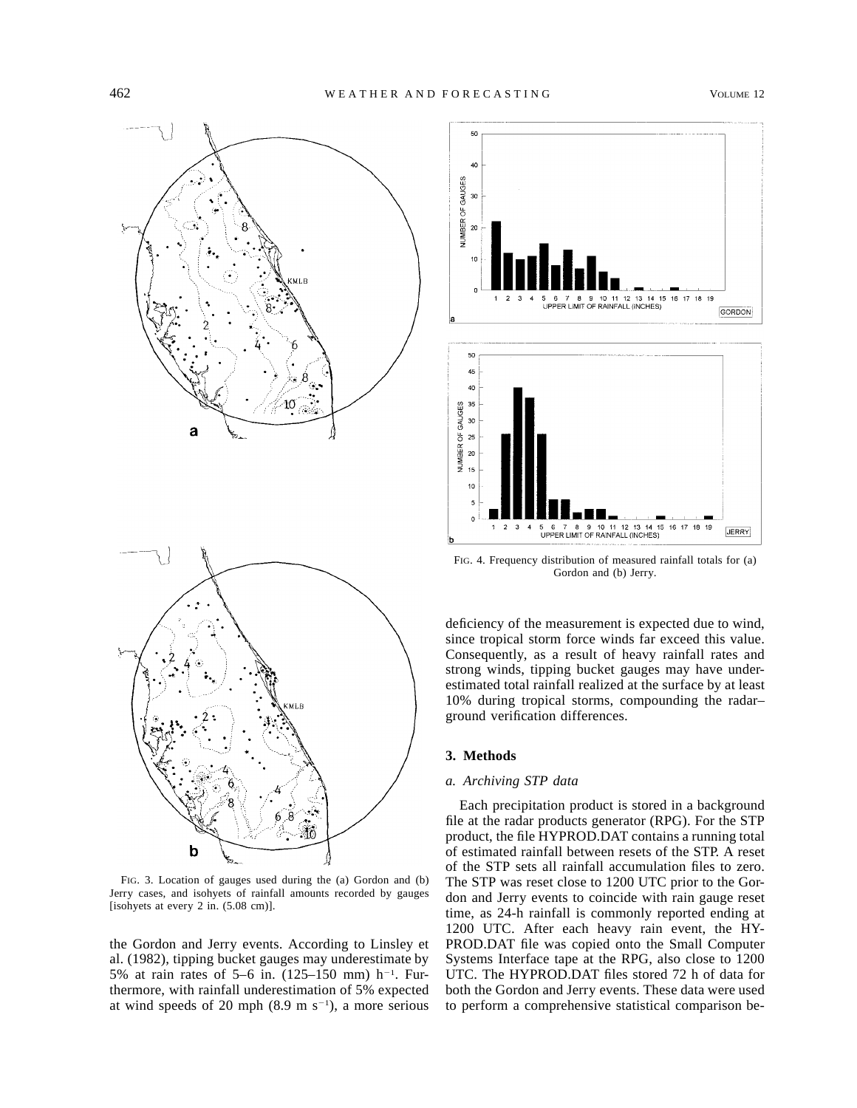

FIG. 3. Location of gauges used during the (a) Gordon and (b) Jerry cases, and isohyets of rainfall amounts recorded by gauges [isohyets at every 2 in. (5.08 cm)].

the Gordon and Jerry events. According to Linsley et al. (1982), tipping bucket gauges may underestimate by 5% at rain rates of 5–6 in.  $(125-150 \text{ mm}) \text{ h}^{-1}$ . Furthermore, with rainfall underestimation of 5% expected at wind speeds of 20 mph  $(8.9 \text{ m s}^{-1})$ , a more serious



FIG. 4. Frequency distribution of measured rainfall totals for (a) Gordon and (b) Jerry.

deficiency of the measurement is expected due to wind, since tropical storm force winds far exceed this value. Consequently, as a result of heavy rainfall rates and strong winds, tipping bucket gauges may have underestimated total rainfall realized at the surface by at least 10% during tropical storms, compounding the radar– ground verification differences.

## **3. Methods**

## *a. Archiving STP data*

Each precipitation product is stored in a background file at the radar products generator (RPG). For the STP product, the file HYPROD.DAT contains a running total of estimated rainfall between resets of the STP. A reset of the STP sets all rainfall accumulation files to zero. The STP was reset close to 1200 UTC prior to the Gordon and Jerry events to coincide with rain gauge reset time, as 24-h rainfall is commonly reported ending at 1200 UTC. After each heavy rain event, the HY-PROD.DAT file was copied onto the Small Computer Systems Interface tape at the RPG, also close to 1200 UTC. The HYPROD.DAT files stored 72 h of data for both the Gordon and Jerry events. These data were used to perform a comprehensive statistical comparison be-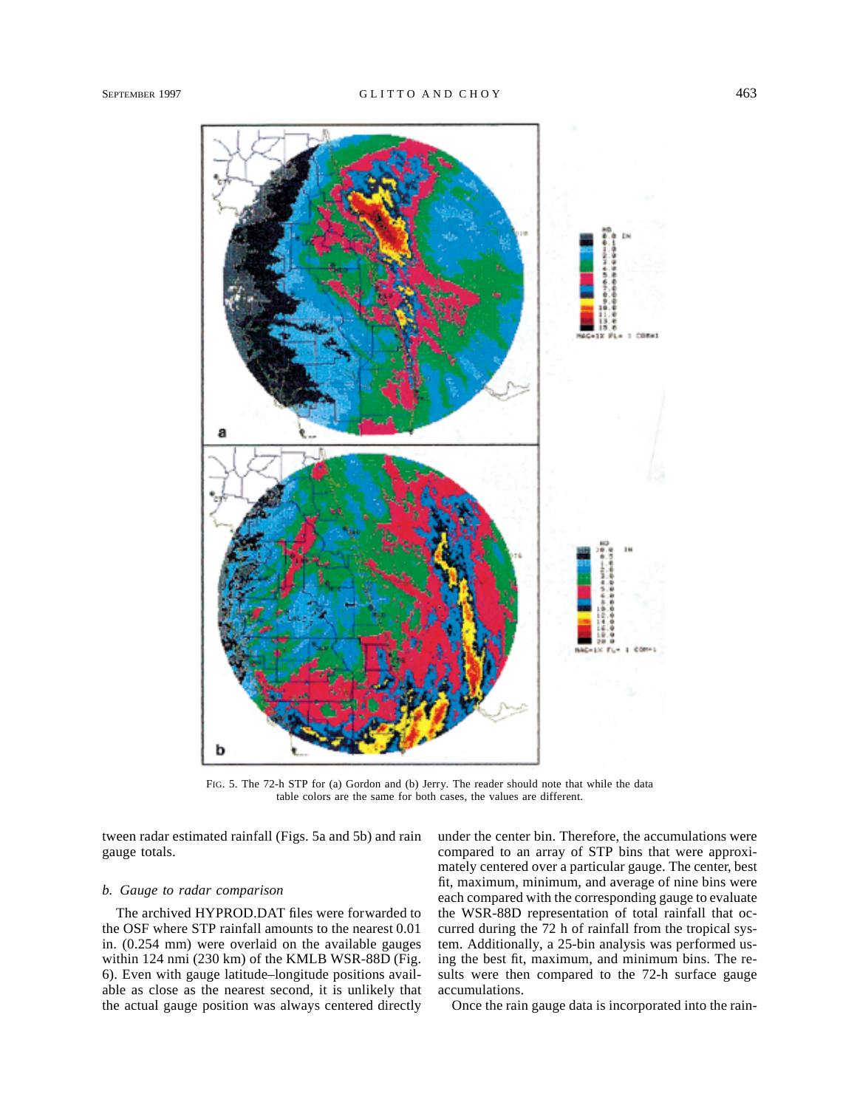

FIG. 5. The 72-h STP for (a) Gordon and (b) Jerry. The reader should note that while the data table colors are the same for both cases, the values are different.

tween radar estimated rainfall (Figs. 5a and 5b) and rain gauge totals.

## *b. Gauge to radar comparison*

The archived HYPROD.DAT files were forwarded to the OSF where STP rainfall amounts to the nearest 0.01 in. (0.254 mm) were overlaid on the available gauges within 124 nmi (230 km) of the KMLB WSR-88D (Fig. 6). Even with gauge latitude–longitude positions available as close as the nearest second, it is unlikely that the actual gauge position was always centered directly under the center bin. Therefore, the accumulations were compared to an array of STP bins that were approximately centered over a particular gauge. The center, best fit, maximum, minimum, and average of nine bins were each compared with the corresponding gauge to evaluate the WSR-88D representation of total rainfall that occurred during the 72 h of rainfall from the tropical system. Additionally, a 25-bin analysis was performed using the best fit, maximum, and minimum bins. The results were then compared to the 72-h surface gauge accumulations.

Once the rain gauge data is incorporated into the rain-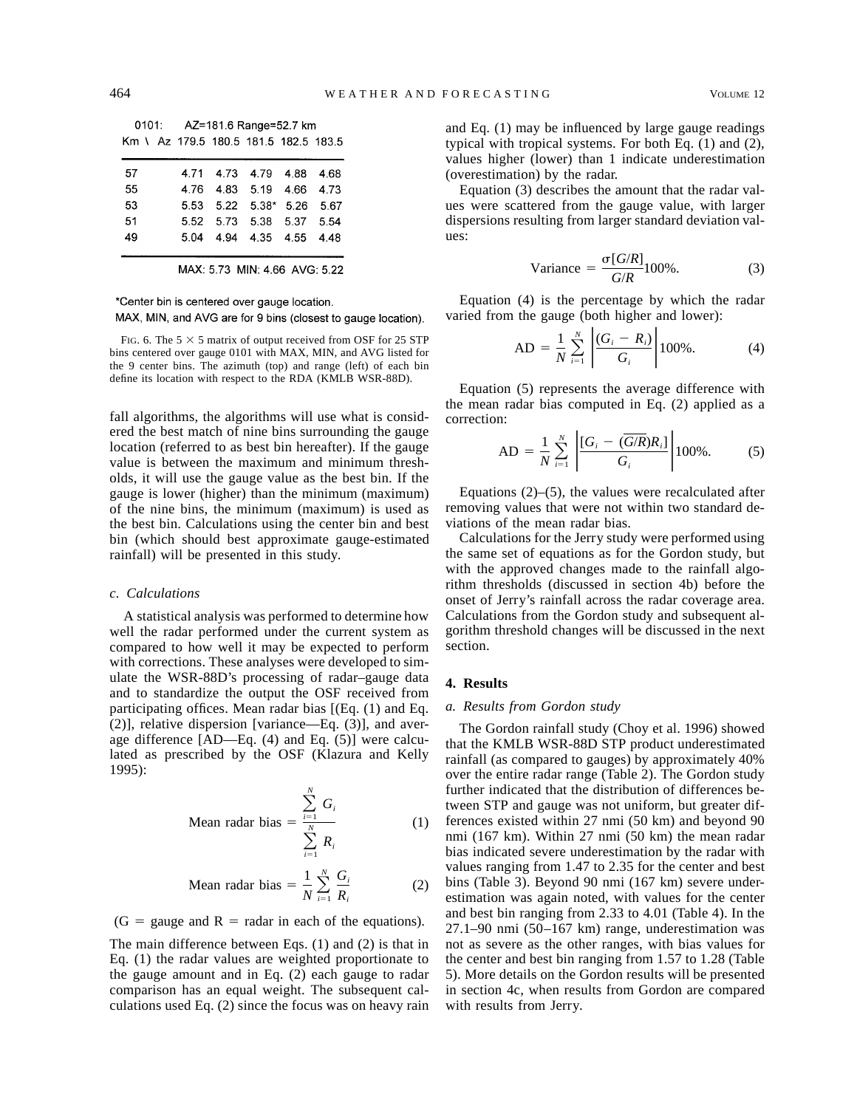0101: AZ=181.6 Range=52.7 km Km \ Az 179.5 180.5 181.5 182.5 183.5

| -57 |  | 4.71 4.73 4.79 4.88 4.68  |  |
|-----|--|---------------------------|--|
| -55 |  | 4.76 4.83 5.19 4.66 4.73  |  |
| 53  |  | 5.53 5.22 5.38* 5.26 5.67 |  |
| 51  |  | 5.52 5.73 5.38 5.37 5.54  |  |
| 49  |  | 5.04 4.94 4.35 4.55 4.48  |  |
|     |  |                           |  |

MAX: 5.73 MIN: 4.66 AVG: 5.22

\*Center bin is centered over gauge location.

MAX, MIN, and AVG are for 9 bins (closest to gauge location).

FIG. 6. The  $5 \times 5$  matrix of output received from OSF for 25 STP bins centered over gauge 0101 with MAX, MIN, and AVG listed for the 9 center bins. The azimuth (top) and range (left) of each bin define its location with respect to the RDA (KMLB WSR-88D).

fall algorithms, the algorithms will use what is considered the best match of nine bins surrounding the gauge location (referred to as best bin hereafter). If the gauge value is between the maximum and minimum thresholds, it will use the gauge value as the best bin. If the gauge is lower (higher) than the minimum (maximum) of the nine bins, the minimum (maximum) is used as the best bin. Calculations using the center bin and best bin (which should best approximate gauge-estimated rainfall) will be presented in this study.

#### *c. Calculations*

A statistical analysis was performed to determine how well the radar performed under the current system as compared to how well it may be expected to perform with corrections. These analyses were developed to simulate the WSR-88D's processing of radar–gauge data and to standardize the output the OSF received from participating offices. Mean radar bias [(Eq. (1) and Eq. (2)], relative dispersion [variance—Eq. (3)], and average difference [AD—Eq. (4) and Eq. (5)] were calculated as prescribed by the OSF (Klazura and Kelly 1995):

Mean radar bias 
$$
= \frac{\sum_{i=1}^{N} G_i}{\sum_{i=1}^{N} R_i}
$$
 (1)

Mean radar bias 
$$
=
$$
  $\frac{1}{N} \sum_{i=1}^{N} \frac{G_i}{R_i}$  (2)

 $(G = \text{gauge and } R = \text{radar in each of the equations}).$ 

The main difference between Eqs. (1) and (2) is that in Eq. (1) the radar values are weighted proportionate to the gauge amount and in Eq. (2) each gauge to radar comparison has an equal weight. The subsequent calculations used Eq. (2) since the focus was on heavy rain and Eq. (1) may be influenced by large gauge readings typical with tropical systems. For both Eq. (1) and (2), values higher (lower) than 1 indicate underestimation (overestimation) by the radar.

Equation (3) describes the amount that the radar values were scattered from the gauge value, with larger dispersions resulting from larger standard deviation values:

$$
\text{Variance} = \frac{\sigma[G/R]}{G/R} 100\%.\tag{3}
$$

Equation (4) is the percentage by which the radar varied from the gauge (both higher and lower):

$$
AD = \frac{1}{N} \sum_{i=1}^{N} \left| \frac{(G_i - R_i)}{G_i} \right| 100\%.
$$
 (4)

Equation (5) represents the average difference with the mean radar bias computed in Eq. (2) applied as a correction:

$$
AD = \frac{1}{N} \sum_{i=1}^{N} \left| \frac{[G_i - (\overline{G/R_i}]}{G_i} \right| 100\%.
$$
 (5)

Equations  $(2)$ – $(5)$ , the values were recalculated after removing values that were not within two standard deviations of the mean radar bias.

Calculations for the Jerry study were performed using the same set of equations as for the Gordon study, but with the approved changes made to the rainfall algorithm thresholds (discussed in section 4b) before the onset of Jerry's rainfall across the radar coverage area. Calculations from the Gordon study and subsequent algorithm threshold changes will be discussed in the next section.

### **4. Results**

## *a. Results from Gordon study*

The Gordon rainfall study (Choy et al. 1996) showed that the KMLB WSR-88D STP product underestimated rainfall (as compared to gauges) by approximately 40% over the entire radar range (Table 2). The Gordon study further indicated that the distribution of differences between STP and gauge was not uniform, but greater differences existed within 27 nmi (50 km) and beyond 90 nmi (167 km). Within 27 nmi (50 km) the mean radar bias indicated severe underestimation by the radar with values ranging from 1.47 to 2.35 for the center and best bins (Table 3). Beyond 90 nmi (167 km) severe underestimation was again noted, with values for the center and best bin ranging from 2.33 to 4.01 (Table 4). In the 27.1–90 nmi (50–167 km) range, underestimation was not as severe as the other ranges, with bias values for the center and best bin ranging from 1.57 to 1.28 (Table 5). More details on the Gordon results will be presented in section 4c, when results from Gordon are compared with results from Jerry.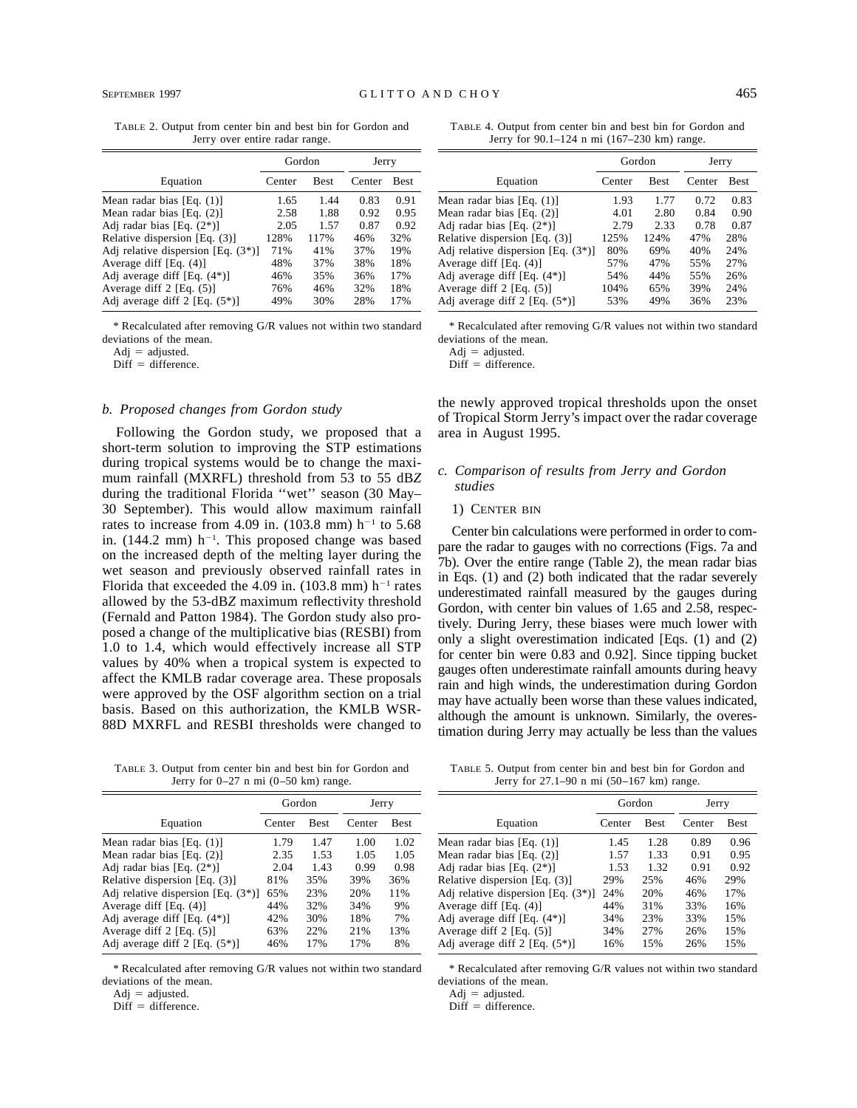TABLE 2. Output from center bin and best bin for Gordon and Jerry over entire radar range.

|                                        | Gordon |             | Jerry  |             |
|----------------------------------------|--------|-------------|--------|-------------|
| Equation                               | Center | <b>Best</b> | Center | <b>Best</b> |
| Mean radar bias [Eq. $(1)$ ]           | 1.65   | 1.44        | 0.83   | 0.91        |
| Mean radar bias $[Eq. (2)]$            | 2.58   | 1.88        | 0.92   | 0.95        |
| Adj radar bias [Eq. $(2^*)$ ]          | 2.05   | 1.57        | 0.87   | 0.92        |
| Relative dispersion [Eq. (3)]          | 128%   | 117%        | 46%    | 32%         |
| Adj relative dispersion [Eq. $(3^*)$ ] | 71%    | 41%         | 37%    | 19%         |
| Average diff $[Eq. (4)]$               | 48%    | 37%         | 38%    | 18%         |
| Adj average diff [Eq. $(4^*)$ ]        | 46%    | 35%         | 36%    | 17%         |
| Average diff $2$ [Eq. $(5)$ ]          | 76%    | 46%         | 32%    | 18%         |
| Adj average diff $2$ [Eq. $(5^*)$ ]    | 49%    | 30%         | 28%    | 17%         |

\* Recalculated after removing G/R values not within two standard deviations of the mean.

 $Adi =$ adjusted.

 $Diff = difference.$ 

## *b. Proposed changes from Gordon study*

Following the Gordon study, we proposed that a short-term solution to improving the STP estimations during tropical systems would be to change the maximum rainfall (MXRFL) threshold from 53 to 55 dB*Z* during the traditional Florida ''wet'' season (30 May– 30 September). This would allow maximum rainfall rates to increase from 4.09 in. (103.8 mm)  $h^{-1}$  to 5.68 in.  $(144.2 \text{ mm})$  h<sup>-1</sup>. This proposed change was based on the increased depth of the melting layer during the wet season and previously observed rainfall rates in Florida that exceeded the 4.09 in. (103.8 mm)  $h^{-1}$  rates allowed by the 53-dB*Z* maximum reflectivity threshold (Fernald and Patton 1984). The Gordon study also proposed a change of the multiplicative bias (RESBI) from 1.0 to 1.4, which would effectively increase all STP values by 40% when a tropical system is expected to affect the KMLB radar coverage area. These proposals were approved by the OSF algorithm section on a trial basis. Based on this authorization, the KMLB WSR-88D MXRFL and RESBI thresholds were changed to

TABLE 3. Output from center bin and best bin for Gordon and Jerry for  $0-27$  n mi  $(0-50$  km) range.

|                                        | Gordon |             | Jerry  |             |
|----------------------------------------|--------|-------------|--------|-------------|
| Equation                               | Center | <b>Best</b> | Center | <b>Best</b> |
| Mean radar bias [Eq. $(1)$ ]           | 1.79   | 1.47        | 1.00   | 1.02        |
| Mean radar bias $[Eq. (2)]$            | 2.35   | 1.53        | 1.05   | 1.05        |
| Adj radar bias [Eq. $(2^*)$ ]          | 2.04   | 1.43        | 0.99   | 0.98        |
| Relative dispersion [Eq. (3)]          | 81%    | 35%         | 39%    | 36%         |
| Adj relative dispersion [Eq. $(3^*)$ ] | 65%    | 23%         | 20%    | 11%         |
| Average diff $[Eq. (4)]$               | 44%    | 32%         | 34%    | 9%          |
| Adj average diff [Eq. $(4^*)$ ]        | 42%    | 30%         | 18%    | 7%          |
| Average diff $2$ [Eq. $(5)$ ]          | 63%    | 22%         | 21%    | 13%         |
| Adj average diff 2 [Eq. $(5^*)$ ]      | 46%    | 17%         | 17%    | 8%          |

\* Recalculated after removing G/R values not within two standard deviations of the mean.

 $Adj = adjusted.$ 

 $Diff = difference.$ 

TABLE 4. Output from center bin and best bin for Gordon and Jerry for 90.1–124 n mi (167–230 km) range.

|                                        | Gordon |             | Jerry  |             |
|----------------------------------------|--------|-------------|--------|-------------|
| Equation                               | Center | <b>Best</b> | Center | <b>Best</b> |
| Mean radar bias $[Eq. (1)]$            | 1.93   | 1.77        | 0.72   | 0.83        |
| Mean radar bias [Eq. $(2)$ ]           | 4.01   | 2.80        | 0.84   | 0.90        |
| Adj radar bias [Eq. $(2^*)$ ]          | 2.79   | 2.33        | 0.78   | 0.87        |
| Relative dispersion [Eq. (3)]          | 125%   | 124%        | 47%    | 28%         |
| Adj relative dispersion [Eq. $(3^*)$ ] | 80%    | 69%         | 40%    | 24%         |
| Average diff $[Eq. (4)]$               | 57%    | 47%         | 55%    | 27%         |
| Adj average diff [Eq. $(4^*)$ ]        | 54%    | 44%         | 55%    | 26%         |
| Average diff $2$ [Eq. $(5)$ ]          | 104%   | 65%         | 39%    | 24%         |
| Adj average diff $2$ [Eq. $(5^*)$ ]    | 53%    | 49%         | 36%    | 23%         |

\* Recalculated after removing G/R values not within two standard deviations of the mean.

 $Adj = adjusted.$ 

 $Diff = difference$ .

the newly approved tropical thresholds upon the onset of Tropical Storm Jerry's impact over the radar coverage area in August 1995.

# *c. Comparison of results from Jerry and Gordon studies*

#### 1) CENTER BIN

Center bin calculations were performed in order to compare the radar to gauges with no corrections (Figs. 7a and 7b). Over the entire range (Table 2), the mean radar bias in Eqs. (1) and (2) both indicated that the radar severely underestimated rainfall measured by the gauges during Gordon, with center bin values of 1.65 and 2.58, respectively. During Jerry, these biases were much lower with only a slight overestimation indicated [Eqs. (1) and (2) for center bin were 0.83 and 0.92]. Since tipping bucket gauges often underestimate rainfall amounts during heavy rain and high winds, the underestimation during Gordon may have actually been worse than these values indicated, although the amount is unknown. Similarly, the overestimation during Jerry may actually be less than the values

TABLE 5. Output from center bin and best bin for Gordon and Jerry for 27.1–90 n mi (50–167 km) range.

|                                        | Gordon |             | Jerry  |             |
|----------------------------------------|--------|-------------|--------|-------------|
| Equation                               | Center | <b>Best</b> | Center | <b>Best</b> |
| Mean radar bias $[Eq. (1)]$            | 1.45   | 1.28        | 0.89   | 0.96        |
| Mean radar bias $[Eq. (2)]$            | 1.57   | 1.33        | 0.91   | 0.95        |
| Adj radar bias [Eq. $(2^*)$ ]          | 1.53   | 1.32        | 0.91   | 0.92        |
| Relative dispersion [Eq. (3)]          | 29%    | 25%         | 46%    | 29%         |
| Adj relative dispersion [Eq. $(3^*)$ ] | 24%    | 20%         | 46%    | 17%         |
| Average diff $[Eq. (4)]$               | 44%    | 31%         | 33%    | 16%         |
| Adj average diff [Eq. $(4^*)$ ]        | 34%    | 23%         | 33%    | 15%         |
| Average diff $2$ [Eq. $(5)$ ]          | 34%    | 27%         | 26%    | 15%         |
| Adj average diff 2 [Eq. $(5^*)$ ]      | 16%    | 15%         | 26%    | 15%         |

\* Recalculated after removing G/R values not within two standard deviations of the mean.

 $Adj = adjusted.$ 

 $Diff = difference.$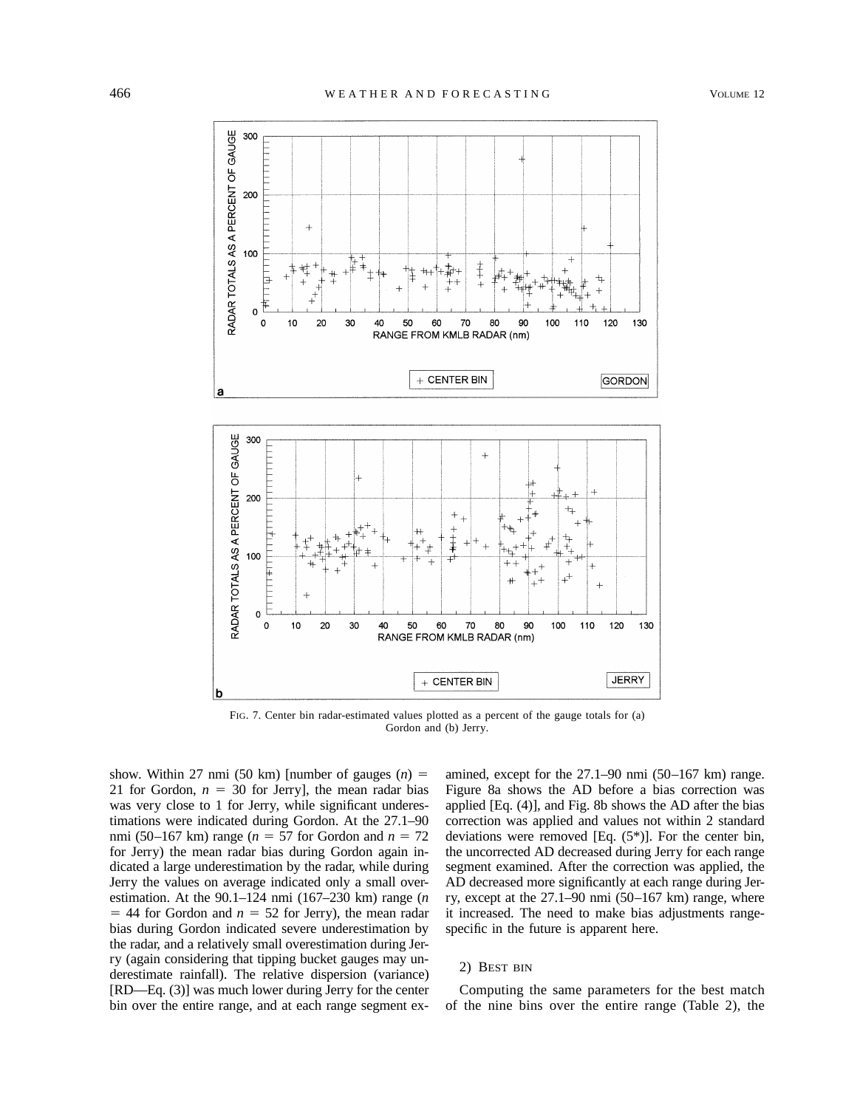

FIG. 7. Center bin radar-estimated values plotted as a percent of the gauge totals for (a) Gordon and (b) Jerry.

show. Within 27 nmi (50 km) [number of gauges  $(n)$  = 21 for Gordon,  $n = 30$  for Jerry], the mean radar bias was very close to 1 for Jerry, while significant underestimations were indicated during Gordon. At the 27.1–90 nmi (50–167 km) range ( $n = 57$  for Gordon and  $n = 72$ for Jerry) the mean radar bias during Gordon again indicated a large underestimation by the radar, while during Jerry the values on average indicated only a small overestimation. At the 90.1–124 nmi (167–230 km) range (*n*  $=$  44 for Gordon and  $n = 52$  for Jerry), the mean radar bias during Gordon indicated severe underestimation by the radar, and a relatively small overestimation during Jerry (again considering that tipping bucket gauges may underestimate rainfall). The relative dispersion (variance) [RD—Eq. (3)] was much lower during Jerry for the center bin over the entire range, and at each range segment ex-

amined, except for the 27.1–90 nmi (50–167 km) range. Figure 8a shows the AD before a bias correction was applied [Eq. (4)], and Fig. 8b shows the AD after the bias correction was applied and values not within 2 standard deviations were removed [Eq. (5\*)]. For the center bin, the uncorrected AD decreased during Jerry for each range segment examined. After the correction was applied, the AD decreased more significantly at each range during Jerry, except at the 27.1–90 nmi (50–167 km) range, where it increased. The need to make bias adjustments rangespecific in the future is apparent here.

## 2) BEST BIN

Computing the same parameters for the best match of the nine bins over the entire range (Table 2), the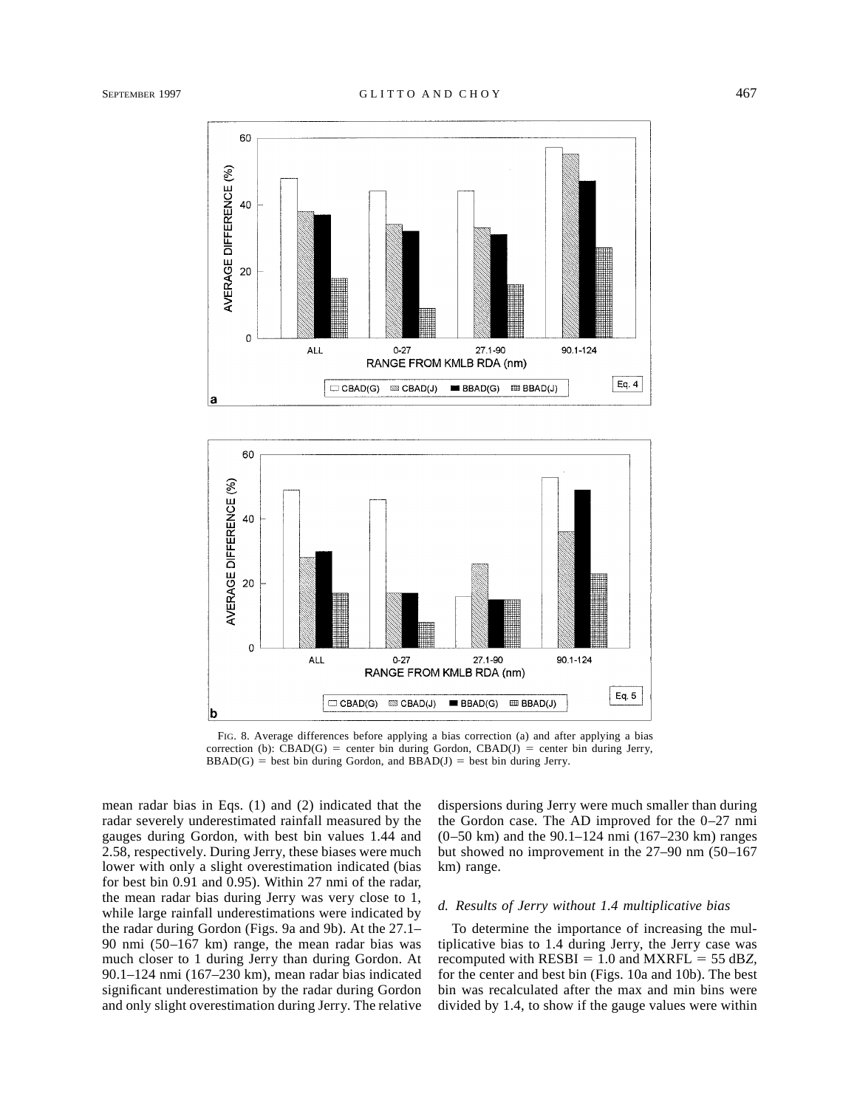



FIG. 8. Average differences before applying a bias correction (a) and after applying a bias correction (b): CBAD(G) = center bin during Gordon, CBAD(J) = center bin during Jerry,  $BBAD(G)$  = best bin during Gordon, and  $BBAD(J)$  = best bin during Jerry.

mean radar bias in Eqs. (1) and (2) indicated that the radar severely underestimated rainfall measured by the gauges during Gordon, with best bin values 1.44 and 2.58, respectively. During Jerry, these biases were much lower with only a slight overestimation indicated (bias for best bin 0.91 and 0.95). Within 27 nmi of the radar, the mean radar bias during Jerry was very close to 1, while large rainfall underestimations were indicated by the radar during Gordon (Figs. 9a and 9b). At the 27.1– 90 nmi (50–167 km) range, the mean radar bias was much closer to 1 during Jerry than during Gordon. At 90.1–124 nmi (167–230 km), mean radar bias indicated significant underestimation by the radar during Gordon and only slight overestimation during Jerry. The relative dispersions during Jerry were much smaller than during the Gordon case. The AD improved for the 0–27 nmi (0–50 km) and the 90.1–124 nmi (167–230 km) ranges but showed no improvement in the 27–90 nm (50–167 km) range.

# *d. Results of Jerry without 1.4 multiplicative bias*

To determine the importance of increasing the multiplicative bias to 1.4 during Jerry, the Jerry case was recomputed with  $RESBI = 1.0$  and  $MXRFL = 55$  dB*Z*, for the center and best bin (Figs. 10a and 10b). The best bin was recalculated after the max and min bins were divided by 1.4, to show if the gauge values were within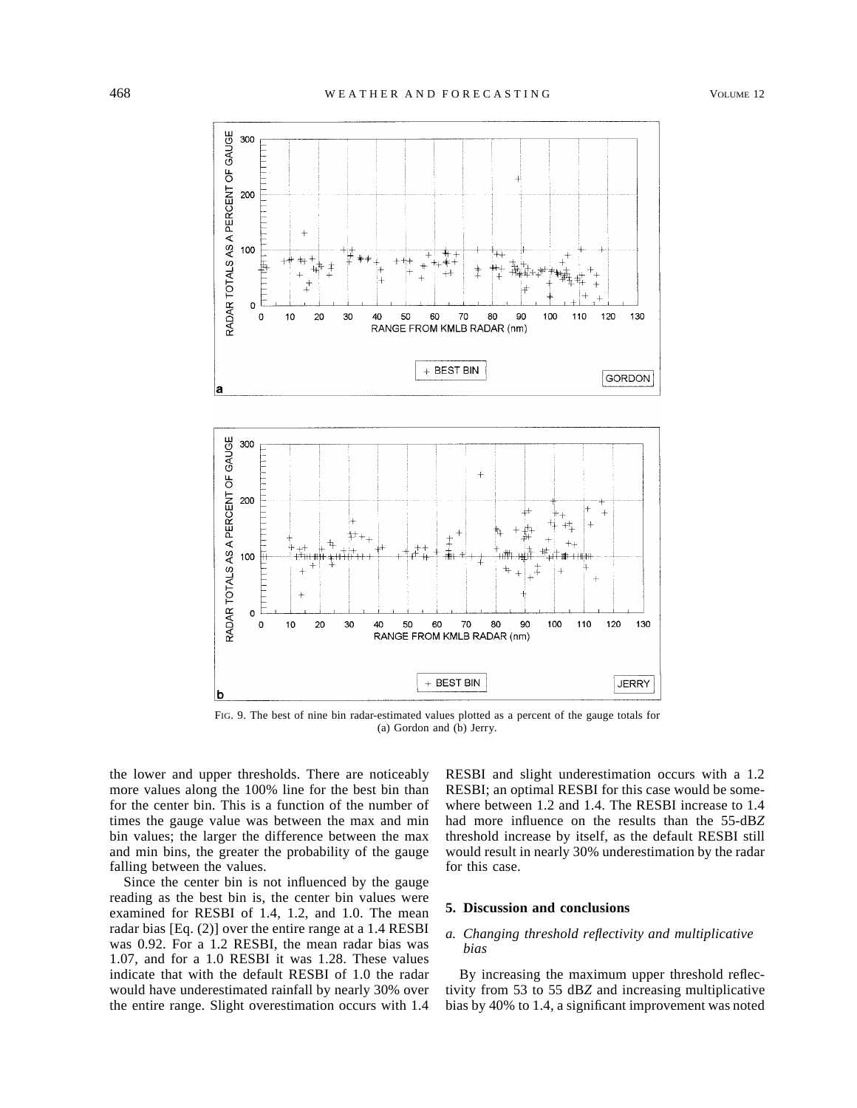

FIG. 9. The best of nine bin radar-estimated values plotted as a percent of the gauge totals for (a) Gordon and (b) Jerry.

the lower and upper thresholds. There are noticeably more values along the 100% line for the best bin than for the center bin. This is a function of the number of times the gauge value was between the max and min bin values; the larger the difference between the max and min bins, the greater the probability of the gauge falling between the values.

Since the center bin is not influenced by the gauge reading as the best bin is, the center bin values were examined for RESBI of 1.4, 1.2, and 1.0. The mean radar bias [Eq. (2)] over the entire range at a 1.4 RESBI was 0.92. For a 1.2 RESBI, the mean radar bias was 1.07, and for a 1.0 RESBI it was 1.28. These values indicate that with the default RESBI of 1.0 the radar would have underestimated rainfall by nearly 30% over the entire range. Slight overestimation occurs with 1.4

RESBI and slight underestimation occurs with a 1.2 RESBI; an optimal RESBI for this case would be somewhere between 1.2 and 1.4. The RESBI increase to 1.4 had more influence on the results than the 55-dB*Z* threshold increase by itself, as the default RESBI still would result in nearly 30% underestimation by the radar for this case.

# **5. Discussion and conclusions**

## *a. Changing threshold reflectivity and multiplicative bias*

By increasing the maximum upper threshold reflectivity from 53 to 55 dB*Z* and increasing multiplicative bias by 40% to 1.4, a significant improvement was noted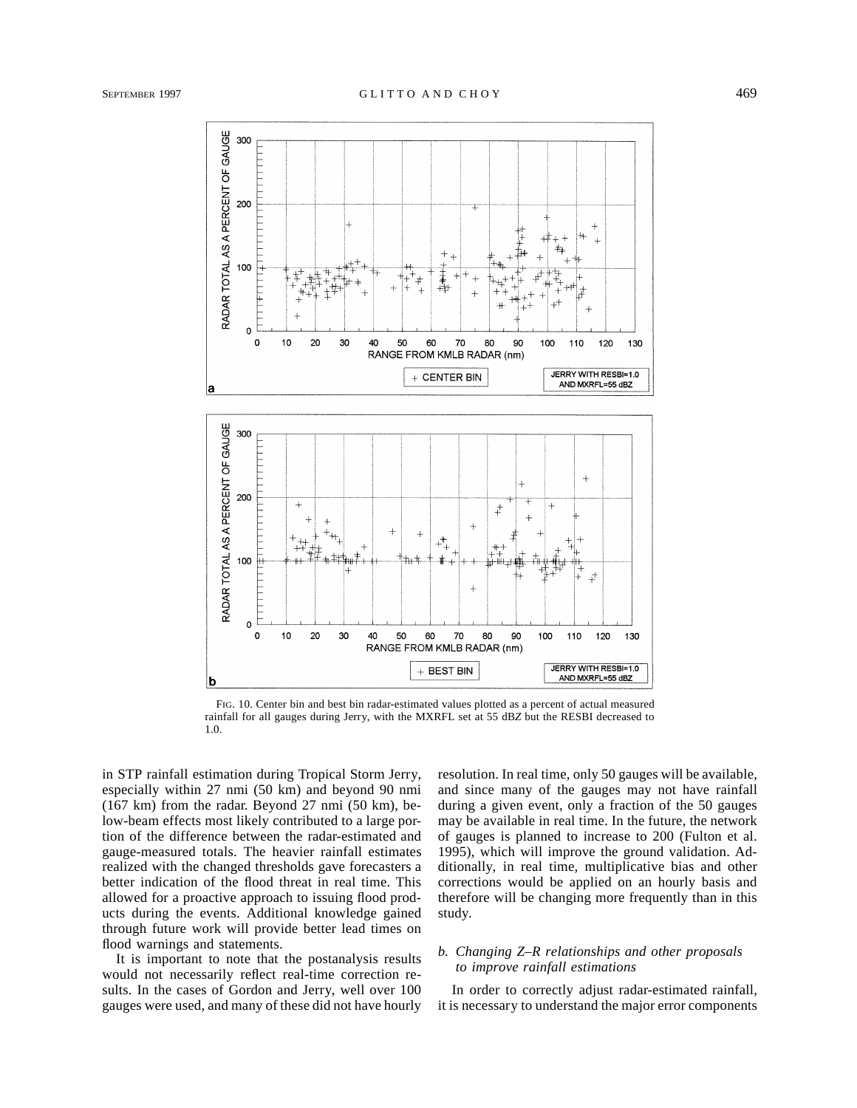

FIG. 10. Center bin and best bin radar-estimated values plotted as a percent of actual measured rainfall for all gauges during Jerry, with the MXRFL set at 55 dB*Z* but the RESBI decreased to 1.0.

in STP rainfall estimation during Tropical Storm Jerry, especially within 27 nmi (50 km) and beyond 90 nmi (167 km) from the radar. Beyond 27 nmi (50 km), below-beam effects most likely contributed to a large portion of the difference between the radar-estimated and gauge-measured totals. The heavier rainfall estimates realized with the changed thresholds gave forecasters a better indication of the flood threat in real time. This allowed for a proactive approach to issuing flood products during the events. Additional knowledge gained through future work will provide better lead times on flood warnings and statements.

It is important to note that the postanalysis results would not necessarily reflect real-time correction results. In the cases of Gordon and Jerry, well over 100 gauges were used, and many of these did not have hourly

resolution. In real time, only 50 gauges will be available, and since many of the gauges may not have rainfall during a given event, only a fraction of the 50 gauges may be available in real time. In the future, the network of gauges is planned to increase to 200 (Fulton et al. 1995), which will improve the ground validation. Additionally, in real time, multiplicative bias and other corrections would be applied on an hourly basis and therefore will be changing more frequently than in this study.

# *b. Changing Z–R relationships and other proposals to improve rainfall estimations*

In order to correctly adjust radar-estimated rainfall, it is necessary to understand the major error components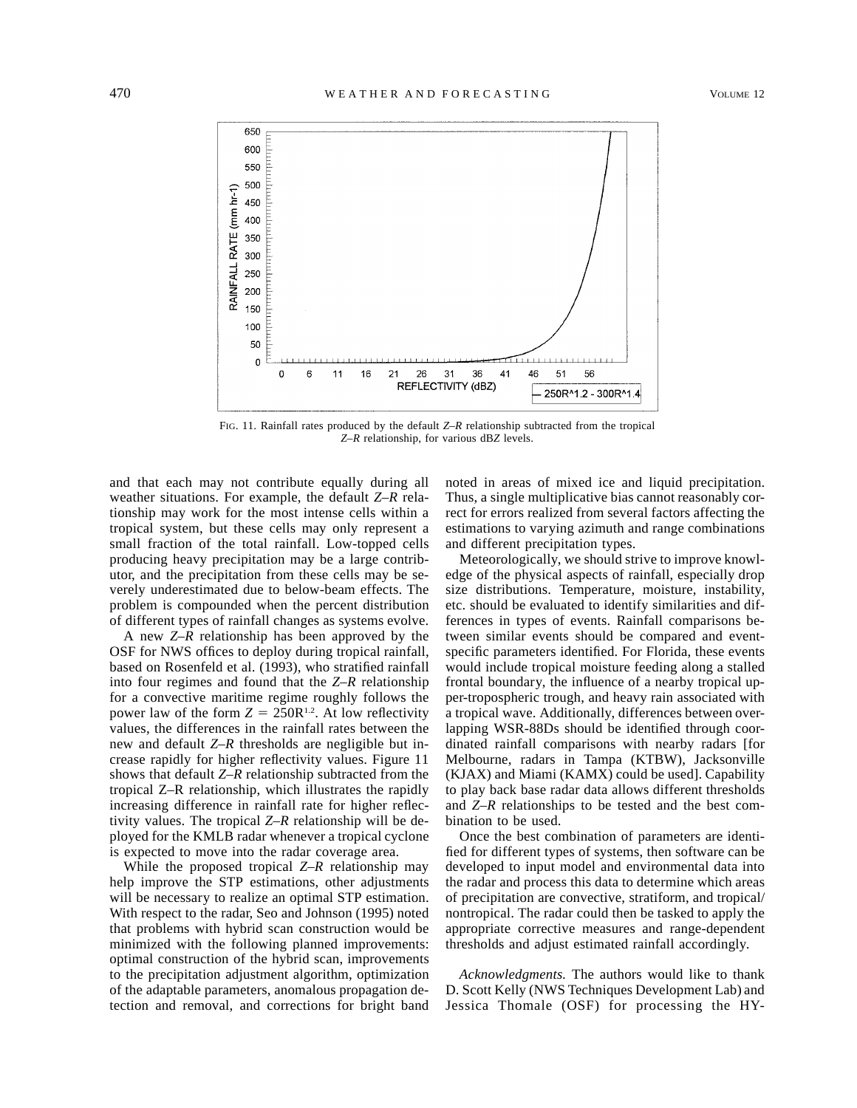

FIG. 11. Rainfall rates produced by the default *Z*–*R* relationship subtracted from the tropical *Z*–*R* relationship, for various dB*Z* levels.

and that each may not contribute equally during all weather situations. For example, the default *Z*–*R* relationship may work for the most intense cells within a tropical system, but these cells may only represent a small fraction of the total rainfall. Low-topped cells producing heavy precipitation may be a large contributor, and the precipitation from these cells may be severely underestimated due to below-beam effects. The problem is compounded when the percent distribution of different types of rainfall changes as systems evolve.

A new *Z*–*R* relationship has been approved by the OSF for NWS offices to deploy during tropical rainfall, based on Rosenfeld et al. (1993), who stratified rainfall into four regimes and found that the *Z*–*R* relationship for a convective maritime regime roughly follows the power law of the form  $Z = 250R^{1.2}$ . At low reflectivity values, the differences in the rainfall rates between the new and default *Z*–*R* thresholds are negligible but increase rapidly for higher reflectivity values. Figure 11 shows that default *Z*–*R* relationship subtracted from the tropical Z–R relationship, which illustrates the rapidly increasing difference in rainfall rate for higher reflectivity values. The tropical *Z*–*R* relationship will be deployed for the KMLB radar whenever a tropical cyclone is expected to move into the radar coverage area.

While the proposed tropical *Z*–*R* relationship may help improve the STP estimations, other adjustments will be necessary to realize an optimal STP estimation. With respect to the radar, Seo and Johnson (1995) noted that problems with hybrid scan construction would be minimized with the following planned improvements: optimal construction of the hybrid scan, improvements to the precipitation adjustment algorithm, optimization of the adaptable parameters, anomalous propagation detection and removal, and corrections for bright band

noted in areas of mixed ice and liquid precipitation. Thus, a single multiplicative bias cannot reasonably correct for errors realized from several factors affecting the estimations to varying azimuth and range combinations and different precipitation types.

Meteorologically, we should strive to improve knowledge of the physical aspects of rainfall, especially drop size distributions. Temperature, moisture, instability, etc. should be evaluated to identify similarities and differences in types of events. Rainfall comparisons between similar events should be compared and eventspecific parameters identified. For Florida, these events would include tropical moisture feeding along a stalled frontal boundary, the influence of a nearby tropical upper-tropospheric trough, and heavy rain associated with a tropical wave. Additionally, differences between overlapping WSR-88Ds should be identified through coordinated rainfall comparisons with nearby radars [for Melbourne, radars in Tampa (KTBW), Jacksonville (KJAX) and Miami (KAMX) could be used]. Capability to play back base radar data allows different thresholds and *Z*–*R* relationships to be tested and the best combination to be used.

Once the best combination of parameters are identified for different types of systems, then software can be developed to input model and environmental data into the radar and process this data to determine which areas of precipitation are convective, stratiform, and tropical/ nontropical. The radar could then be tasked to apply the appropriate corrective measures and range-dependent thresholds and adjust estimated rainfall accordingly.

*Acknowledgments.* The authors would like to thank D. Scott Kelly (NWS Techniques Development Lab) and Jessica Thomale (OSF) for processing the HY-